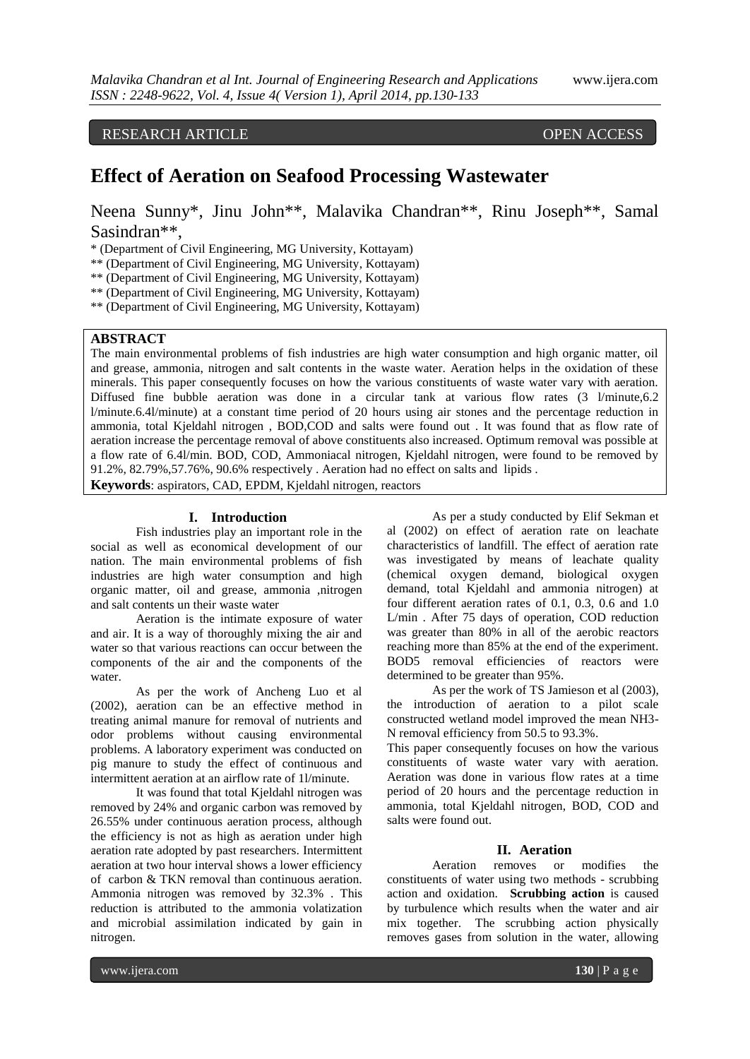RESEARCH ARTICLE OPEN ACCESS

# **Effect of Aeration on Seafood Processing Wastewater**

Neena Sunny\*, Jinu John\*\*, Malavika Chandran\*\*, Rinu Joseph\*\*, Samal Sasindran\*\*,

\* (Department of Civil Engineering, MG University, Kottayam)

\*\* (Department of Civil Engineering, MG University, Kottayam)

\*\* (Department of Civil Engineering, MG University, Kottayam)

\*\* (Department of Civil Engineering, MG University, Kottayam)

\*\* (Department of Civil Engineering, MG University, Kottayam)

# **ABSTRACT**

The main environmental problems of fish industries are high water consumption and high organic matter, oil and grease, ammonia, nitrogen and salt contents in the waste water. Aeration helps in the oxidation of these minerals. This paper consequently focuses on how the various constituents of waste water vary with aeration. Diffused fine bubble aeration was done in a circular tank at various flow rates (3 l/minute,6.2 l/minute.6.4l/minute) at a constant time period of 20 hours using air stones and the percentage reduction in ammonia, total Kjeldahl nitrogen , BOD,COD and salts were found out . It was found that as flow rate of aeration increase the percentage removal of above constituents also increased. Optimum removal was possible at a flow rate of 6.4l/min. BOD, COD, Ammoniacal nitrogen, Kjeldahl nitrogen, were found to be removed by 91.2%, 82.79%,57.76%, 90.6% respectively . Aeration had no effect on salts and lipids .

**Keywords**: aspirators, CAD, EPDM, Kjeldahl nitrogen, reactors

#### **I. Introduction**

Fish industries play an important role in the social as well as economical development of our nation. The main environmental problems of fish industries are high water consumption and high organic matter, oil and grease, ammonia ,nitrogen and salt contents un their waste water

Aeration is the intimate exposure of water and air. It is a way of thoroughly mixing the air and water so that various reactions can occur between the components of the air and the components of the water.

As per the work of Ancheng Luo et al (2002), aeration can be an effective method in treating animal manure for removal of nutrients and odor problems without causing environmental problems. A laboratory experiment was conducted on pig manure to study the effect of continuous and intermittent aeration at an airflow rate of 1l/minute.

It was found that total Kjeldahl nitrogen was removed by 24% and organic carbon was removed by 26.55% under continuous aeration process, although the efficiency is not as high as aeration under high aeration rate adopted by past researchers. Intermittent aeration at two hour interval shows a lower efficiency of carbon & TKN removal than continuous aeration. Ammonia nitrogen was removed by 32.3% . This reduction is attributed to the ammonia volatization and microbial assimilation indicated by gain in nitrogen.

As per a study conducted by Elif Sekman et al (2002) on effect of aeration rate on leachate characteristics of landfill. The effect of aeration rate was investigated by means of leachate quality (chemical oxygen demand, biological oxygen demand, total Kjeldahl and ammonia nitrogen) at four different aeration rates of 0.1, 0.3, 0.6 and 1.0 L/min . After 75 days of operation, COD reduction was greater than 80% in all of the aerobic reactors reaching more than 85% at the end of the experiment. BOD5 removal efficiencies of reactors were determined to be greater than 95%.

As per the work of TS Jamieson et al (2003), the introduction of aeration to a pilot scale constructed wetland model improved the mean NH3- N removal efficiency from 50.5 to 93.3%.

This paper consequently focuses on how the various constituents of waste water vary with aeration. Aeration was done in various flow rates at a time period of 20 hours and the percentage reduction in ammonia, total Kjeldahl nitrogen, BOD, COD and salts were found out.

# **II. Aeration**

Aeration removes or modifies the constituents of water using two methods - scrubbing action and oxidation. **Scrubbing action** is caused by turbulence which results when the water and air mix together. The scrubbing action physically removes gases from solution in the water, allowing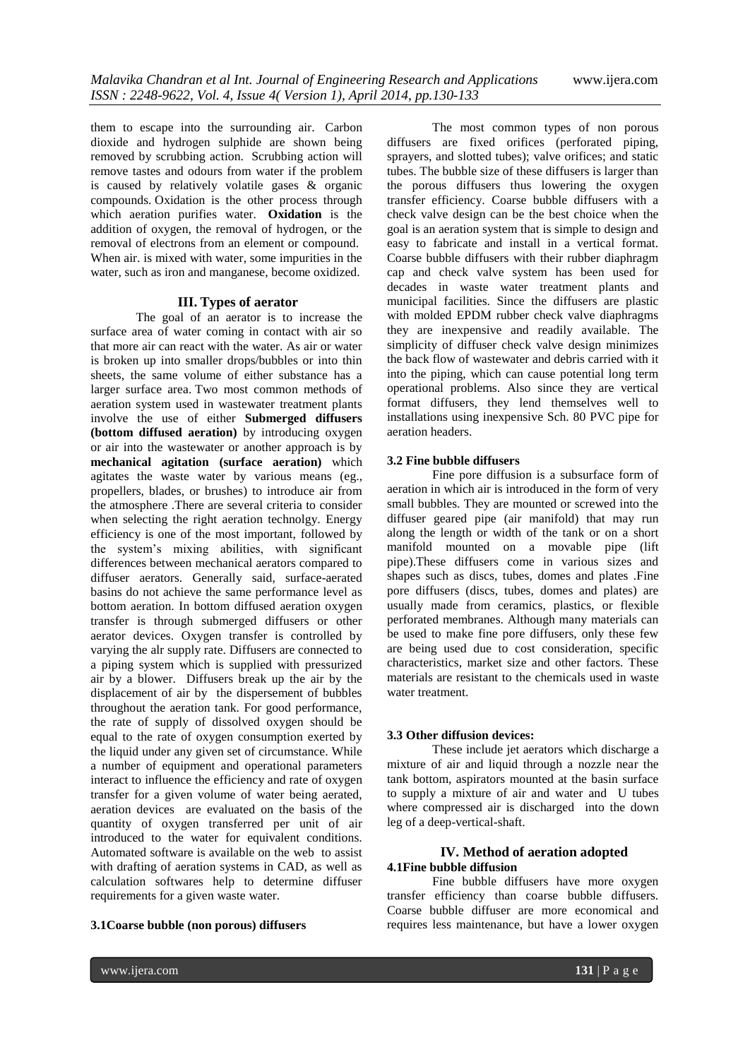them to escape into the surrounding air. Carbon dioxide and hydrogen sulphide are shown being removed by scrubbing action. Scrubbing action will remove tastes and odours from water if the problem is caused by relatively volatile gases  $\&$  organic compounds. Oxidation is the other process through which aeration purifies water. **Oxidation** is the addition of oxygen, the removal of hydrogen, or the removal of electrons from an element or compound. When air. is mixed with water, some impurities in the water, such as iron and manganese, become oxidized.

## **III. Types of aerator**

The goal of an aerator is to increase the surface area of water coming in contact with air so that more air can react with the water. As air or water is broken up into smaller drops/bubbles or into thin sheets, the same volume of either substance has a larger surface area. Two most common methods of aeration system used in wastewater treatment plants involve the use of either **Submerged diffusers (bottom diffused aeration)** by introducing oxygen or air into the wastewater or another approach is by **mechanical agitation (surface aeration)** which agitates the waste water by various means (eg., propellers, blades, or brushes) to introduce air from the atmosphere .There are several criteria to consider when selecting the right aeration technolgy. Energy efficiency is one of the most important, followed by the system's mixing abilities, with significant differences between mechanical aerators compared to diffuser aerators. Generally said, surface-aerated basins do not achieve the same performance level as bottom aeration. In bottom diffused aeration oxygen transfer is through submerged diffusers or other aerator devices. Oxygen transfer is controlled by varying the alr supply rate. Diffusers are connected to a piping system which is supplied with pressurized air by a blower. Diffusers break up the air by the displacement of air by the dispersement of bubbles throughout the aeration tank. For good performance, the rate of supply of dissolved oxygen should be equal to the rate of oxygen consumption exerted by the liquid under any given set of circumstance. While a number of equipment and operational parameters interact to influence the efficiency and rate of oxygen transfer for a given volume of water being aerated, aeration devices are evaluated on the basis of the quantity of oxygen transferred per unit of air introduced to the water for equivalent conditions. Automated software is available on the web to assist with drafting of aeration systems in CAD, as well as calculation softwares help to determine diffuser requirements for a given waste water.

#### **3.1Coarse bubble (non porous) diffusers**

The most common types of non porous diffusers are fixed orifices (perforated piping, sprayers, and slotted tubes); valve orifices; and static tubes. The bubble size of these diffusers is larger than the porous diffusers thus lowering the oxygen transfer efficiency. Coarse bubble diffusers with a check valve design can be the best choice when the goal is an aeration system that is simple to design and easy to fabricate and install in a vertical format. Coarse bubble diffusers with their rubber diaphragm cap and check valve system has been used for decades in waste water treatment plants and municipal facilities. Since the diffusers are plastic with molded EPDM rubber check valve diaphragms they are inexpensive and readily available. The simplicity of diffuser check valve design minimizes the back flow of wastewater and debris carried with it into the piping, which can cause potential long term operational problems. Also since they are vertical format diffusers, they lend themselves well to installations using inexpensive Sch. 80 PVC pipe for aeration headers.

## **3.2 Fine bubble diffusers**

Fine pore diffusion is a subsurface form of aeration in which air is introduced in the form of very small bubbles. They are mounted or screwed into the diffuser geared pipe (air manifold) that may run along the length or width of the tank or on a short manifold mounted on a movable pipe (lift pipe).These diffusers come in various sizes and shapes such as discs, tubes, domes and plates .Fine pore diffusers (discs, tubes, domes and plates) are usually made from ceramics, plastics, or flexible perforated membranes. Although many materials can be used to make fine pore diffusers, only these few are being used due to cost consideration, specific characteristics, market size and other factors. These materials are resistant to the chemicals used in waste water treatment.

#### **3.3 Other diffusion devices:**

These include jet aerators which discharge a mixture of air and liquid through a nozzle near the tank bottom, aspirators mounted at the basin surface to supply a mixture of air and water and U tubes where compressed air is discharged into the down leg of a deep-vertical-shaft.

# **IV. Method of aeration adopted 4.1Fine bubble diffusion**

Fine bubble diffusers have more oxygen transfer efficiency than coarse bubble diffusers. Coarse bubble diffuser are more economical and requires less maintenance, but have a lower oxygen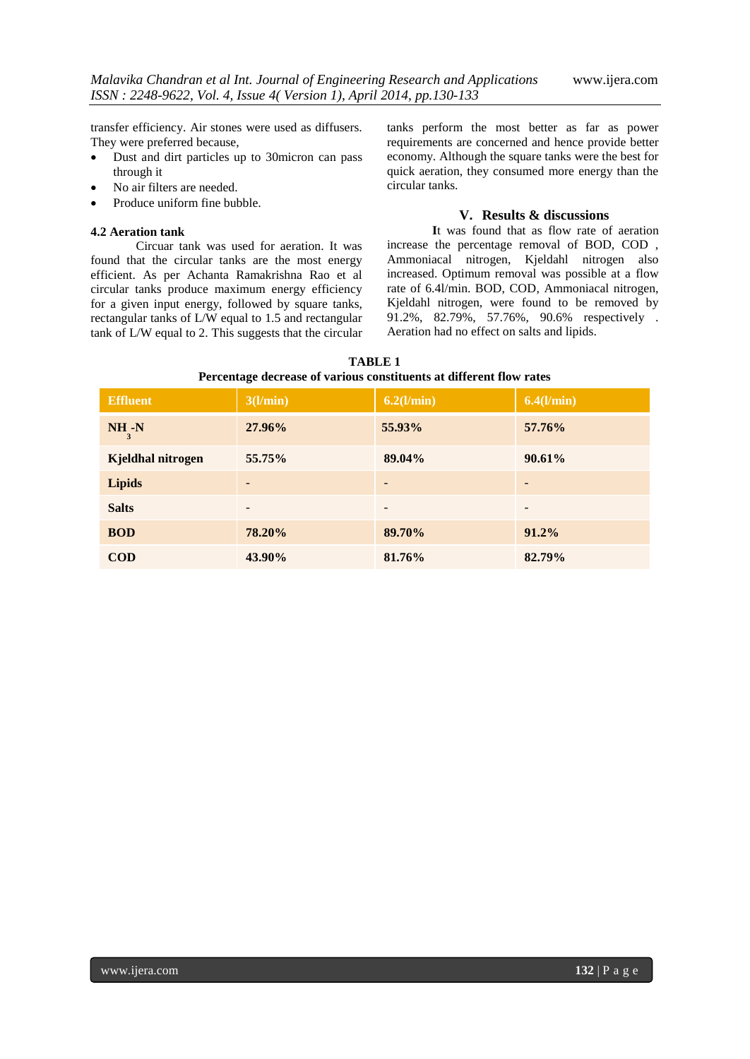transfer efficiency. Air stones were used as diffusers. They were preferred because,

- Dust and dirt particles up to 30micron can pass through it
- No air filters are needed.
- Produce uniform fine bubble.

# **4.2 Aeration tank**

Circuar tank was used for aeration. It was found that the circular tanks are the most energy efficient. As per Achanta Ramakrishna Rao et al circular tanks produce maximum energy efficiency for a given input energy, followed by square tanks, rectangular tanks of L/W equal to 1.5 and rectangular tank of L/W equal to 2. This suggests that the circular tanks perform the most better as far as power requirements are concerned and hence provide better economy. Although the square tanks were the best for quick aeration, they consumed more energy than the circular tanks.

# **V. Results & discussions**

**I**t was found that as flow rate of aeration increase the percentage removal of BOD, COD , Ammoniacal nitrogen, Kjeldahl nitrogen also increased. Optimum removal was possible at a flow rate of 6.4l/min. BOD, COD, Ammoniacal nitrogen, Kjeldahl nitrogen, were found to be removed by 91.2%, 82.79%, 57.76%, 90.6% respectively . Aeration had no effect on salts and lipids.

| <b>TABLE 1</b>                                                      |
|---------------------------------------------------------------------|
| Percentage decrease of various constituents at different flow rates |

| <b>Effluent</b>   | 3(l/min)        | $6.2$ (l/min) | $6.4$ (l/min) |
|-------------------|-----------------|---------------|---------------|
| $NH -N$<br>3      | 27.96%          | 55.93%        | 57.76%        |
| Kjeldhal nitrogen | 55.75%          | 89.04%        | $90.61\%$     |
| <b>Lipids</b>     |                 |               |               |
| <b>Salts</b>      | $\qquad \qquad$ | -             | -             |
| <b>BOD</b>        | 78.20%          | 89.70%        | $91.2\%$      |
| $\mathbf{COD}$    | 43.90%          | 81.76%        | 82.79%        |